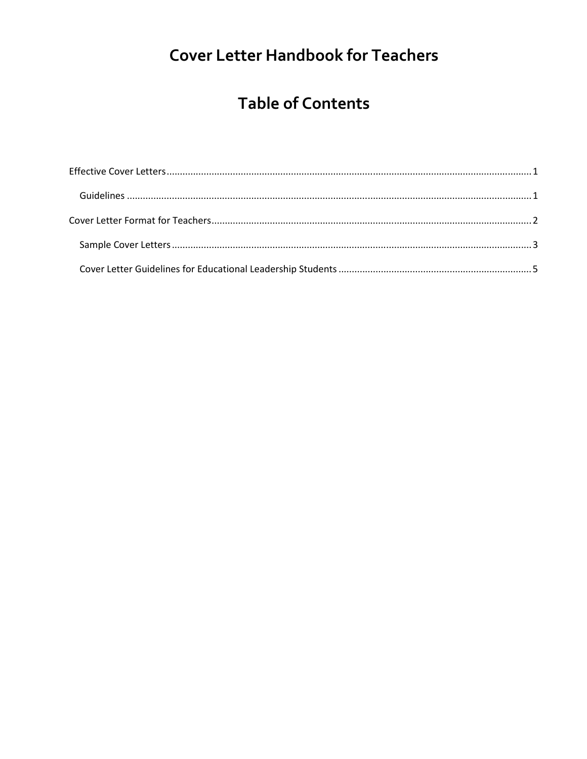# **Cover Letter Handbook for Teachers**

## **Table of Contents**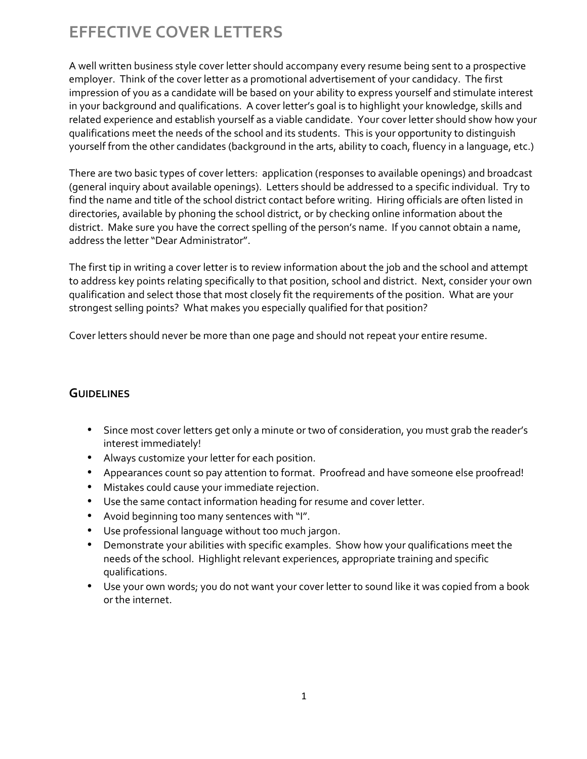## **EFFECTIVE COVER LETTERS**

A well written business style cover letter should accompany every resume being sent to a prospective employer. Think of the cover letter as a promotional advertisement of your candidacy. The first impression of you as a candidate will be based on your ability to express yourself and stimulate interest in your background and qualifications. A cover letter's goal is to highlight your knowledge, skills and related experience and establish yourself as a viable candidate. Your cover letter should show how your qualifications meet the needs of the school and its students. This is your opportunity to distinguish yourself from the other candidates (background in the arts, ability to coach, fluency in a language, etc.)

There are two basic types of cover letters: application (responses to available openings) and broadcast (general inquiry about available openings). Letters should be addressed to a specific individual. Try to find the name and title of the school district contact before writing. Hiring officials are often listed in directories, available by phoning the school district, or by checking online information about the district. Make sure you have the correct spelling of the person's name. If you cannot obtain a name, address the letter "Dear Administrator".

The first tip in writing a cover letter is to review information about the job and the school and attempt to address key points relating specifically to that position, school and district. Next, consider your own qualification and select those that most closely fit the requirements of the position. What are your strongest selling points? What makes you especially qualified for that position?

Cover letters should never be more than one page and should not repeat your entire resume.

## **GUIDELINES**

- Since most cover letters get only a minute or two of consideration, you must grab the reader's interest immediately!
- Always customize your letter for each position.
- Appearances count so pay attention to format. Proofread and have someone else proofread!
- Mistakes could cause your immediate rejection.
- Use the same contact information heading for resume and cover letter.
- Avoid beginning too many sentences with "I".
- Use professional language without too much jargon.
- Demonstrate your abilities with specific examples. Show how your qualifications meet the needs of the school. Highlight relevant experiences, appropriate training and specific qualifications.
- Use your own words; you do not want your cover letter to sound like it was copied from a book or the internet.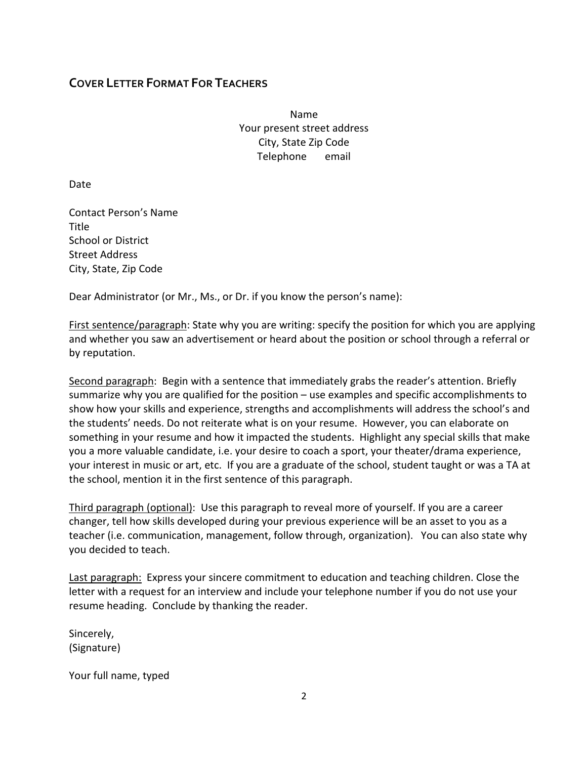## **COVER LETTER FORMAT FOR TEACHERS**

Name Your present street address City, State Zip Code Telephone email

Date

Contact Person's Name Title School or District Street Address City, State, Zip Code

Dear Administrator (or Mr., Ms., or Dr. if you know the person's name):

First sentence/paragraph: State why you are writing: specify the position for which you are applying and whether you saw an advertisement or heard about the position or school through a referral or by reputation.

Second paragraph: Begin with a sentence that immediately grabs the reader's attention. Briefly summarize why you are qualified for the position – use examples and specific accomplishments to show how your skills and experience, strengths and accomplishments will address the school's and the students' needs. Do not reiterate what is on your resume. However, you can elaborate on something in your resume and how it impacted the students. Highlight any special skills that make you a more valuable candidate, i.e. your desire to coach a sport, your theater/drama experience, your interest in music or art, etc. If you are a graduate of the school, student taught or was a TA at the school, mention it in the first sentence of this paragraph.

Third paragraph (optional): Use this paragraph to reveal more of yourself. If you are a career changer, tell how skills developed during your previous experience will be an asset to you as a teacher (i.e. communication, management, follow through, organization). You can also state why you decided to teach.

**Last paragraph:** Express your sincere commitment to education and teaching children. Close the letter with a request for an interview and include your telephone number if you do not use your resume heading. Conclude by thanking the reader.

Sincerely, (Signature)

Your full name, typed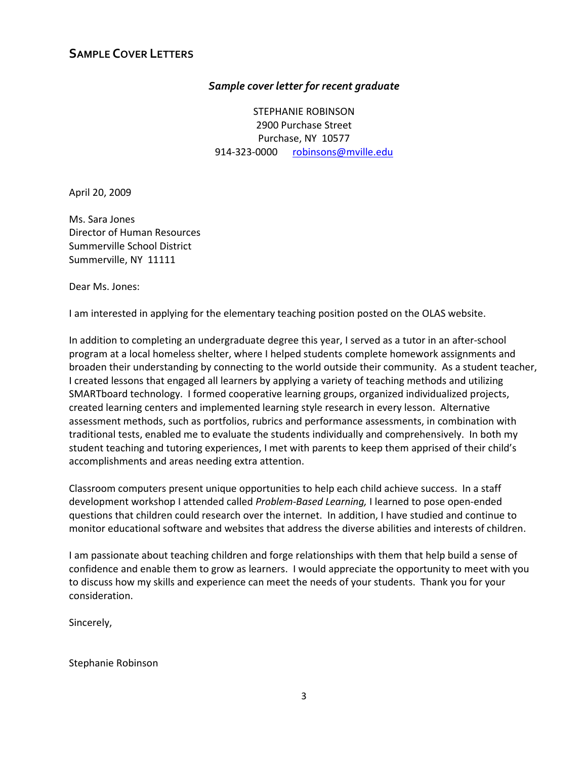## *Sample cover letter for recent graduate*

STEPHANIE ROBINSON 2900 Purchase Street Purchase, NY 10577 914-323-0000 robinsons@mville.edu

April 20, 2009

Ms. Sara Jones Director of Human Resources Summerville School District Summerville, NY 11111

Dear Ms. Jones:

I am interested in applying for the elementary teaching position posted on the OLAS website.

In addition to completing an undergraduate degree this year, I served as a tutor in an after-school program at a local homeless shelter, where I helped students complete homework assignments and broaden their understanding by connecting to the world outside their community. As a student teacher, I created lessons that engaged all learners by applying a variety of teaching methods and utilizing SMARTboard technology. I formed cooperative learning groups, organized individualized projects, created learning centers and implemented learning style research in every lesson. Alternative assessment methods, such as portfolios, rubrics and performance assessments, in combination with traditional tests, enabled me to evaluate the students individually and comprehensively. In both my student teaching and tutoring experiences, I met with parents to keep them apprised of their child's accomplishments and areas needing extra attention.

Classroom computers present unique opportunities to help each child achieve success. In a staff development workshop I attended called *Problem-Based Learning,* I learned to pose open-ended questions that children could research over the internet. In addition, I have studied and continue to monitor educational software and websites that address the diverse abilities and interests of children.

I am passionate about teaching children and forge relationships with them that help build a sense of confidence and enable them to grow as learners. I would appreciate the opportunity to meet with you to discuss how my skills and experience can meet the needs of your students. Thank you for your consideration.

Sincerely,

Stephanie Robinson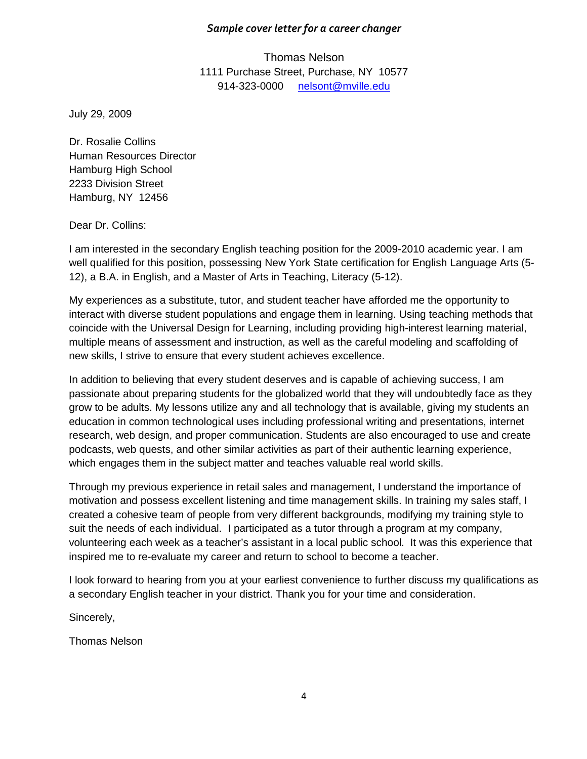### *Sample cover letter for a career changer*

Thomas Nelson 1111 Purchase Street, Purchase, NY 10577 914-323-0000 nelsont@mville.edu

July 29, 2009

Dr. Rosalie Collins Human Resources Director Hamburg High School 2233 Division Street Hamburg, NY 12456

Dear Dr. Collins:

I am interested in the secondary English teaching position for the 2009-2010 academic year. I am well qualified for this position, possessing New York State certification for English Language Arts (5- 12), a B.A. in English, and a Master of Arts in Teaching, Literacy (5-12).

My experiences as a substitute, tutor, and student teacher have afforded me the opportunity to interact with diverse student populations and engage them in learning. Using teaching methods that coincide with the Universal Design for Learning, including providing high-interest learning material, multiple means of assessment and instruction, as well as the careful modeling and scaffolding of new skills, I strive to ensure that every student achieves excellence.

In addition to believing that every student deserves and is capable of achieving success, I am passionate about preparing students for the globalized world that they will undoubtedly face as they grow to be adults. My lessons utilize any and all technology that is available, giving my students an education in common technological uses including professional writing and presentations, internet research, web design, and proper communication. Students are also encouraged to use and create podcasts, web quests, and other similar activities as part of their authentic learning experience, which engages them in the subject matter and teaches valuable real world skills.

Through my previous experience in retail sales and management, I understand the importance of motivation and possess excellent listening and time management skills. In training my sales staff, I created a cohesive team of people from very different backgrounds, modifying my training style to suit the needs of each individual. I participated as a tutor through a program at my company, volunteering each week as a teacher's assistant in a local public school. It was this experience that inspired me to re-evaluate my career and return to school to become a teacher.

I look forward to hearing from you at your earliest convenience to further discuss my qualifications as a secondary English teacher in your district. Thank you for your time and consideration.

Sincerely,

Thomas Nelson